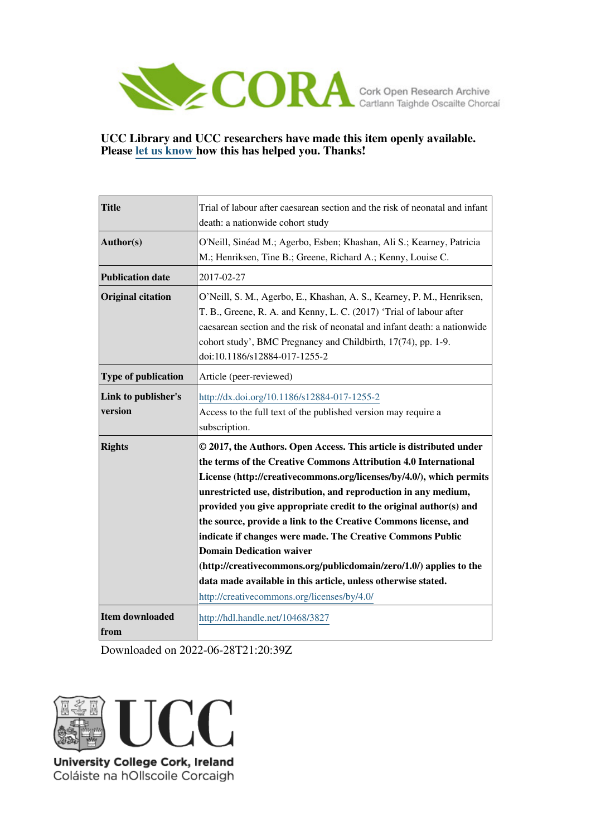

## **UCC Library and UCC researchers have made this item openly available. Please [let us know h](https://libguides.ucc.ie/openaccess/impact?suffix=3827&title=Trial of labour after caesarean section and the risk of neonatal and infant death: a nationwide cohort study)ow this has helped you. Thanks!**

| <b>Title</b>                   | Trial of labour after caesarean section and the risk of neonatal and infant<br>death: a nationwide cohort study                                                                                                                                                                                                                                                                                                                                                                                                                                                                                                                                                                                                   |  |  |
|--------------------------------|-------------------------------------------------------------------------------------------------------------------------------------------------------------------------------------------------------------------------------------------------------------------------------------------------------------------------------------------------------------------------------------------------------------------------------------------------------------------------------------------------------------------------------------------------------------------------------------------------------------------------------------------------------------------------------------------------------------------|--|--|
| Author(s)                      | O'Neill, Sinéad M.; Agerbo, Esben; Khashan, Ali S.; Kearney, Patricia<br>M.; Henriksen, Tine B.; Greene, Richard A.; Kenny, Louise C.                                                                                                                                                                                                                                                                                                                                                                                                                                                                                                                                                                             |  |  |
| <b>Publication date</b>        | 2017-02-27                                                                                                                                                                                                                                                                                                                                                                                                                                                                                                                                                                                                                                                                                                        |  |  |
| <b>Original citation</b>       | O'Neill, S. M., Agerbo, E., Khashan, A. S., Kearney, P. M., Henriksen,<br>T. B., Greene, R. A. and Kenny, L. C. (2017) 'Trial of labour after<br>caesarean section and the risk of neonatal and infant death: a nationwide<br>cohort study', BMC Pregnancy and Childbirth, 17(74), pp. 1-9.<br>doi:10.1186/s12884-017-1255-2                                                                                                                                                                                                                                                                                                                                                                                      |  |  |
| Type of publication            | Article (peer-reviewed)                                                                                                                                                                                                                                                                                                                                                                                                                                                                                                                                                                                                                                                                                           |  |  |
| Link to publisher's<br>version | http://dx.doi.org/10.1186/s12884-017-1255-2<br>Access to the full text of the published version may require a<br>subscription.                                                                                                                                                                                                                                                                                                                                                                                                                                                                                                                                                                                    |  |  |
| <b>Rights</b>                  | © 2017, the Authors. Open Access. This article is distributed under<br>the terms of the Creative Commons Attribution 4.0 International<br>License (http://creativecommons.org/licenses/by/4.0/), which permits<br>unrestricted use, distribution, and reproduction in any medium,<br>provided you give appropriate credit to the original author(s) and<br>the source, provide a link to the Creative Commons license, and<br>indicate if changes were made. The Creative Commons Public<br><b>Domain Dedication waiver</b><br>(http://creativecommons.org/publicdomain/zero/1.0/) applies to the<br>data made available in this article, unless otherwise stated.<br>http://creativecommons.org/licenses/by/4.0/ |  |  |
| <b>Item downloaded</b><br>from | http://hdl.handle.net/10468/3827                                                                                                                                                                                                                                                                                                                                                                                                                                                                                                                                                                                                                                                                                  |  |  |

Downloaded on 2022-06-28T21:20:39Z



Coláiste na hOllscoile Corcaigh